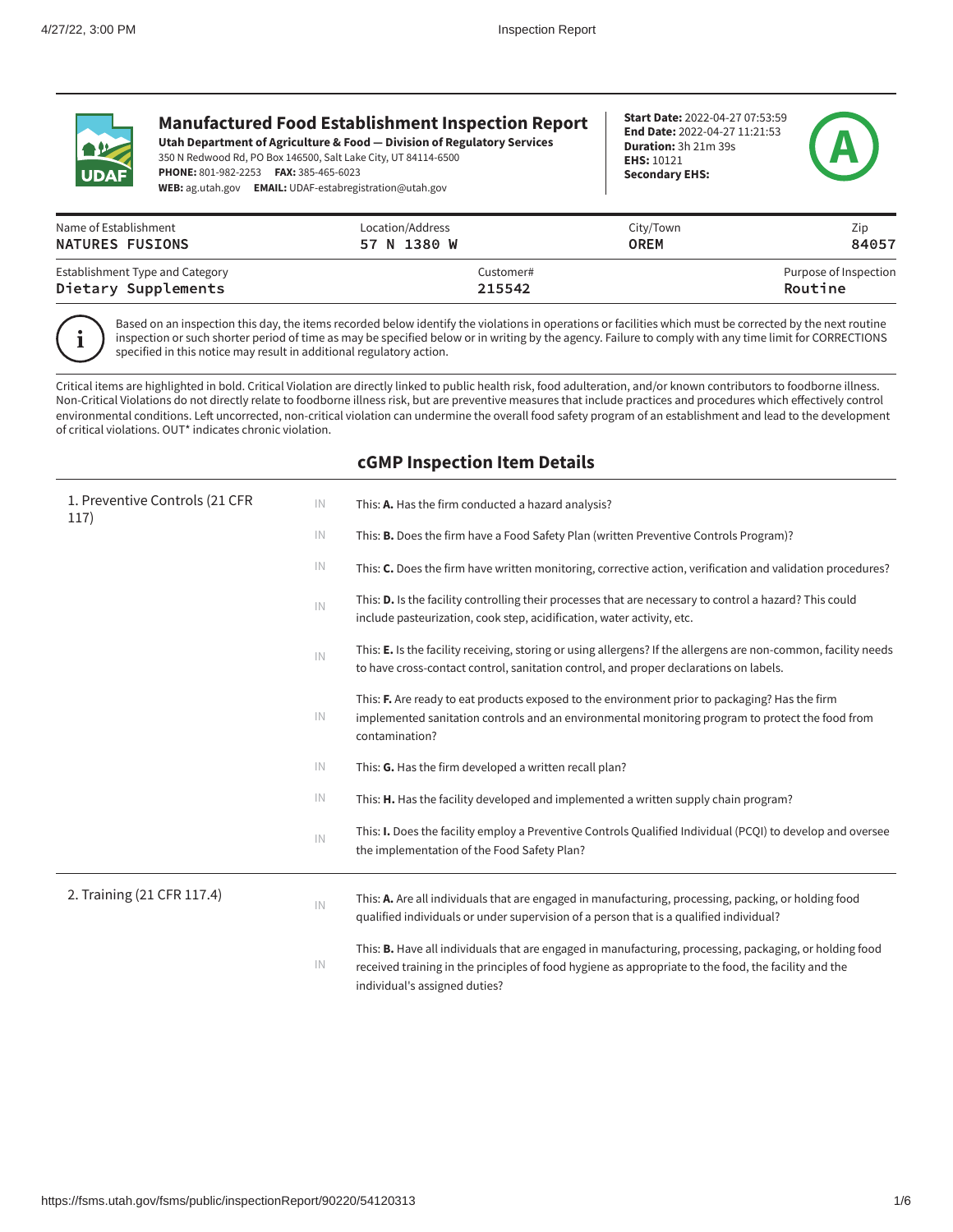

# **Manufactured Food Establishment Inspection Report**

**Utah Department of Agriculture & Food — Division of Regulatory Services** 350 N Redwood Rd, PO Box 146500, Salt Lake City, UT 84114-6500 **PHONE:** 801-982-2253 **FAX:** 385-465-6023 **WEB:** ag.utah.gov **EMAIL:** UDAF-estabregistration@utah.gov

**Start Date:** 2022-04-27 07:53:59 **End Date:** 2022-04-27 11:21:53 **Duration:** 3h 21m 39s **EHS:** 10121 **Secondary EHS:**



| Name of Establishment           | Location/Address | City/Town | <b>ZID</b>            |
|---------------------------------|------------------|-----------|-----------------------|
| NATURES FUSIONS                 | 57 N 1380 W      | OREM      | 84057                 |
| Establishment Type and Category | Customer#        |           | Purpose of Inspection |
| Dietary Supplements             | 215542           |           | Routine               |

i

Based on an inspection this day, the items recorded below identify the violations in operations or facilities which must be corrected by the next routine inspection or such shorter period of time as may be specified below or in writing by the agency. Failure to comply with any time limit for CORRECTIONS specified in this notice may result in additional regulatory action.

Critical items are highlighted in bold. Critical Violation are directly linked to public health risk, food adulteration, and/or known contributors to foodborne illness. Non-Critical Violations do not directly relate to foodborne illness risk, but are preventive measures that include practices and procedures which effectively control environmental conditions. Left uncorrected, non-critical violation can undermine the overall food safety program of an establishment and lead to the development of critical violations. OUT\* indicates chronic violation.

# **cGMP Inspection Item Details**

| 1. Preventive Controls (21 CFR<br>117) | IN            | This: A. Has the firm conducted a hazard analysis?                                                                                                                                                                                                      |
|----------------------------------------|---------------|---------------------------------------------------------------------------------------------------------------------------------------------------------------------------------------------------------------------------------------------------------|
|                                        | IN            | This: <b>B.</b> Does the firm have a Food Safety Plan (written Preventive Controls Program)?                                                                                                                                                            |
|                                        | IN            | This: C. Does the firm have written monitoring, corrective action, verification and validation procedures?                                                                                                                                              |
|                                        | IN            | This: <b>D.</b> Is the facility controlling their processes that are necessary to control a hazard? This could<br>include pasteurization, cook step, acidification, water activity, etc.                                                                |
|                                        | IN            | This: E. Is the facility receiving, storing or using allergens? If the allergens are non-common, facility needs<br>to have cross-contact control, sanitation control, and proper declarations on labels.                                                |
|                                        | IN            | This: F. Are ready to eat products exposed to the environment prior to packaging? Has the firm<br>implemented sanitation controls and an environmental monitoring program to protect the food from<br>contamination?                                    |
|                                        | IN            | This: G. Has the firm developed a written recall plan?                                                                                                                                                                                                  |
|                                        | IN            | This: H. Has the facility developed and implemented a written supply chain program?                                                                                                                                                                     |
|                                        | IN            | This: <b>I.</b> Does the facility employ a Preventive Controls Qualified Individual (PCQI) to develop and oversee<br>the implementation of the Food Safety Plan?                                                                                        |
| 2. Training (21 CFR 117.4)             | $\mathsf{IN}$ | This: A. Are all individuals that are engaged in manufacturing, processing, packing, or holding food<br>qualified individuals or under supervision of a person that is a qualified individual?                                                          |
|                                        | IN            | This: <b>B.</b> Have all individuals that are engaged in manufacturing, processing, packaging, or holding food<br>received training in the principles of food hygiene as appropriate to the food, the facility and the<br>individual's assigned duties? |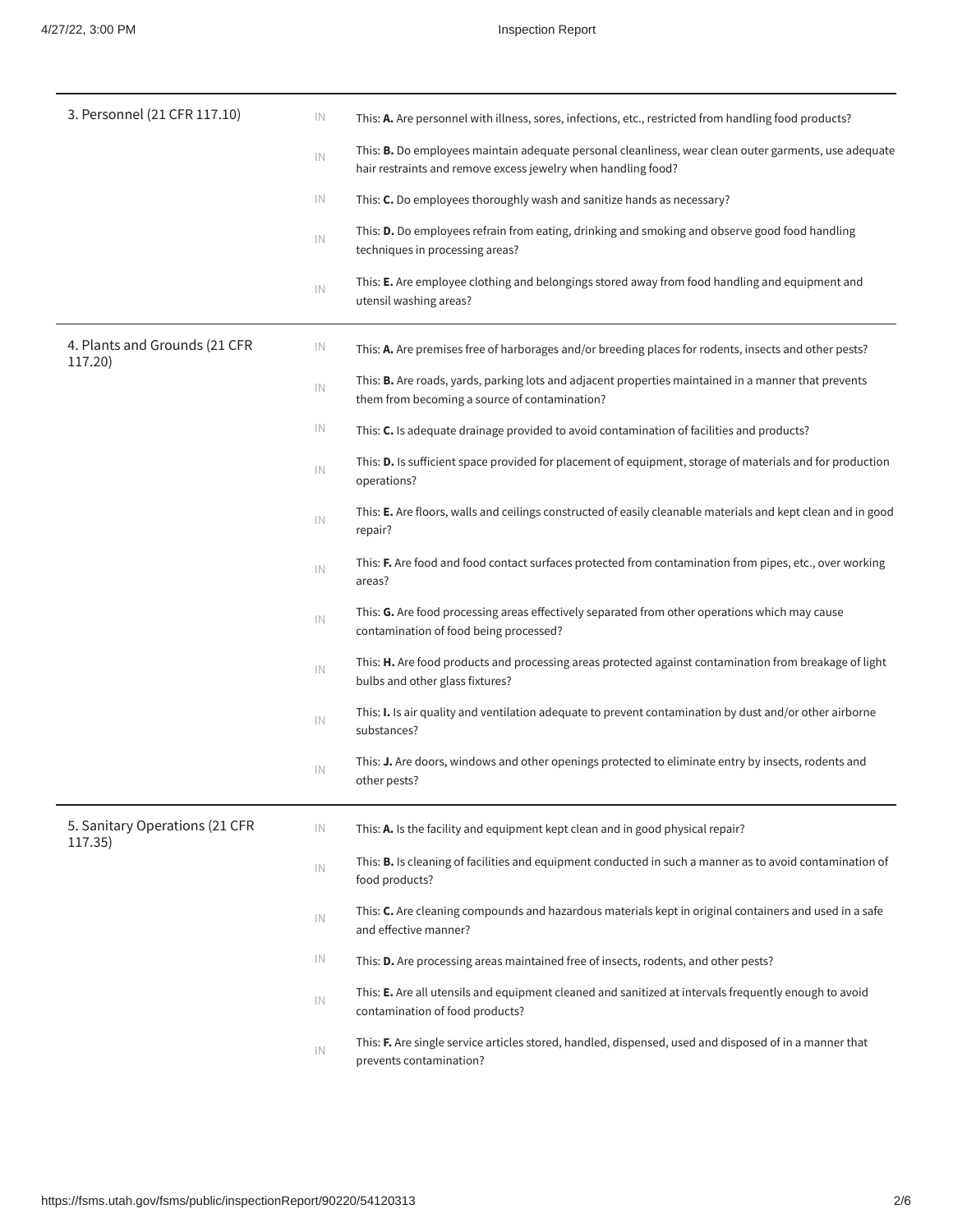| 3. Personnel (21 CFR 117.10)              | IN | This: A. Are personnel with illness, sores, infections, etc., restricted from handling food products?                                                                         |
|-------------------------------------------|----|-------------------------------------------------------------------------------------------------------------------------------------------------------------------------------|
|                                           | IN | This: <b>B.</b> Do employees maintain adequate personal cleanliness, wear clean outer garments, use adequate<br>hair restraints and remove excess jewelry when handling food? |
|                                           | IN | This: C. Do employees thoroughly wash and sanitize hands as necessary?                                                                                                        |
|                                           | IN | This: D. Do employees refrain from eating, drinking and smoking and observe good food handling<br>techniques in processing areas?                                             |
|                                           | IN | This: E. Are employee clothing and belongings stored away from food handling and equipment and<br>utensil washing areas?                                                      |
| 4. Plants and Grounds (21 CFR<br>117.20)  | IN | This: A. Are premises free of harborages and/or breeding places for rodents, insects and other pests?                                                                         |
|                                           | IN | This: B. Are roads, yards, parking lots and adjacent properties maintained in a manner that prevents<br>them from becoming a source of contamination?                         |
|                                           | IN | This: C. Is adequate drainage provided to avoid contamination of facilities and products?                                                                                     |
|                                           | IN | This: <b>D.</b> Is sufficient space provided for placement of equipment, storage of materials and for production<br>operations?                                               |
|                                           | IN | This: E. Are floors, walls and ceilings constructed of easily cleanable materials and kept clean and in good<br>repair?                                                       |
|                                           | IN | This: F. Are food and food contact surfaces protected from contamination from pipes, etc., over working<br>areas?                                                             |
|                                           | IN | This: G. Are food processing areas effectively separated from other operations which may cause<br>contamination of food being processed?                                      |
|                                           | IN | This: H. Are food products and processing areas protected against contamination from breakage of light<br>bulbs and other glass fixtures?                                     |
|                                           | IN | This: I. Is air quality and ventilation adequate to prevent contamination by dust and/or other airborne<br>substances?                                                        |
|                                           | IN | This: J. Are doors, windows and other openings protected to eliminate entry by insects, rodents and<br>other pests?                                                           |
| 5. Sanitary Operations (21 CFR<br>117.35) | IN | This: A. Is the facility and equipment kept clean and in good physical repair?                                                                                                |
|                                           | IN | This: <b>B.</b> Is cleaning of facilities and equipment conducted in such a manner as to avoid contamination of<br>food products?                                             |
|                                           | IN | This: C. Are cleaning compounds and hazardous materials kept in original containers and used in a safe<br>and effective manner?                                               |
|                                           | IN | This: D. Are processing areas maintained free of insects, rodents, and other pests?                                                                                           |
|                                           | IN | This: E. Are all utensils and equipment cleaned and sanitized at intervals frequently enough to avoid<br>contamination of food products?                                      |
|                                           | IN | This: F. Are single service articles stored, handled, dispensed, used and disposed of in a manner that<br>prevents contamination?                                             |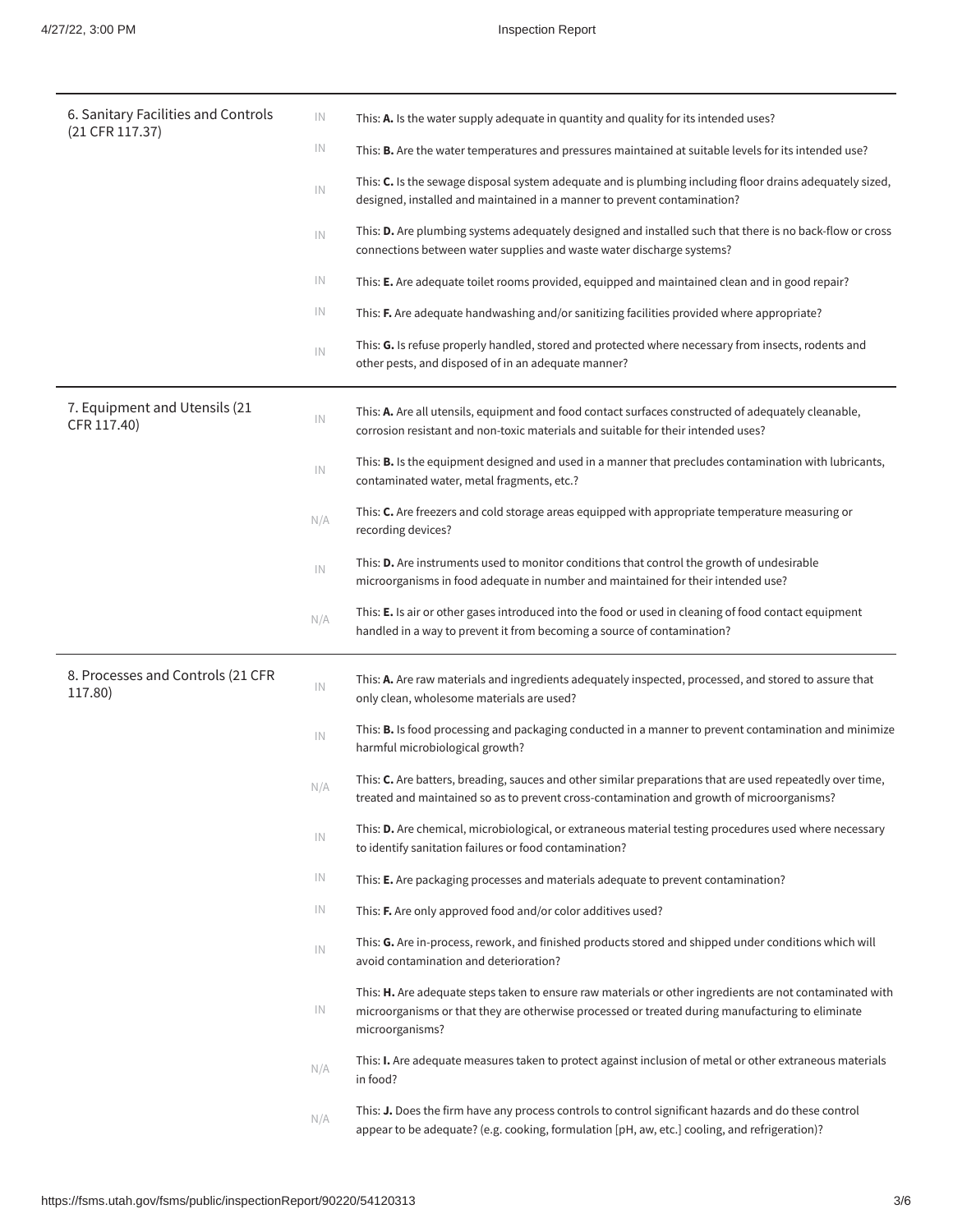| 6. Sanitary Facilities and Controls          | IN  | This: A. Is the water supply adequate in quantity and quality for its intended uses?                                                                                                                                            |
|----------------------------------------------|-----|---------------------------------------------------------------------------------------------------------------------------------------------------------------------------------------------------------------------------------|
| $(21$ CFR 117.37)                            | IN  | This: <b>B.</b> Are the water temperatures and pressures maintained at suitable levels for its intended use?                                                                                                                    |
|                                              | IN  | This: C. Is the sewage disposal system adequate and is plumbing including floor drains adequately sized,<br>designed, installed and maintained in a manner to prevent contamination?                                            |
|                                              | IN  | This: D. Are plumbing systems adequately designed and installed such that there is no back-flow or cross<br>connections between water supplies and waste water discharge systems?                                               |
|                                              | IN  | This: E. Are adequate toilet rooms provided, equipped and maintained clean and in good repair?                                                                                                                                  |
|                                              | IN  | This: F. Are adequate handwashing and/or sanitizing facilities provided where appropriate?                                                                                                                                      |
|                                              | IN  | This: G. Is refuse properly handled, stored and protected where necessary from insects, rodents and<br>other pests, and disposed of in an adequate manner?                                                                      |
| 7. Equipment and Utensils (21<br>CFR 117.40) | IN  | This: A. Are all utensils, equipment and food contact surfaces constructed of adequately cleanable,<br>corrosion resistant and non-toxic materials and suitable for their intended uses?                                        |
|                                              | IN  | This: <b>B.</b> Is the equipment designed and used in a manner that precludes contamination with lubricants,<br>contaminated water, metal fragments, etc.?                                                                      |
|                                              | N/A | This: C. Are freezers and cold storage areas equipped with appropriate temperature measuring or<br>recording devices?                                                                                                           |
|                                              | IN  | This: D. Are instruments used to monitor conditions that control the growth of undesirable<br>microorganisms in food adequate in number and maintained for their intended use?                                                  |
|                                              | N/A | This: E. Is air or other gases introduced into the food or used in cleaning of food contact equipment<br>handled in a way to prevent it from becoming a source of contamination?                                                |
| 8. Processes and Controls (21 CFR<br>117.80) | IN  | This: A. Are raw materials and ingredients adequately inspected, processed, and stored to assure that<br>only clean, wholesome materials are used?                                                                              |
|                                              | IN  | This: <b>B.</b> Is food processing and packaging conducted in a manner to prevent contamination and minimize<br>harmful microbiological growth?                                                                                 |
|                                              | N/A | This: C. Are batters, breading, sauces and other similar preparations that are used repeatedly over time,<br>treated and maintained so as to prevent cross-contamination and growth of microorganisms?                          |
|                                              | IN  | This: <b>D.</b> Are chemical, microbiological, or extraneous material testing procedures used where necessary<br>to identify sanitation failures or food contamination?                                                         |
|                                              | IN  | This: E. Are packaging processes and materials adequate to prevent contamination?                                                                                                                                               |
|                                              | IN  | This: F. Are only approved food and/or color additives used?                                                                                                                                                                    |
|                                              | IN  | This: G. Are in-process, rework, and finished products stored and shipped under conditions which will<br>avoid contamination and deterioration?                                                                                 |
|                                              | IN  | This: H. Are adequate steps taken to ensure raw materials or other ingredients are not contaminated with<br>microorganisms or that they are otherwise processed or treated during manufacturing to eliminate<br>microorganisms? |
|                                              | N/A | This: I. Are adequate measures taken to protect against inclusion of metal or other extraneous materials<br>in food?                                                                                                            |
|                                              | N/A | This: J. Does the firm have any process controls to control significant hazards and do these control<br>appear to be adequate? (e.g. cooking, formulation [pH, aw, etc.] cooling, and refrigeration)?                           |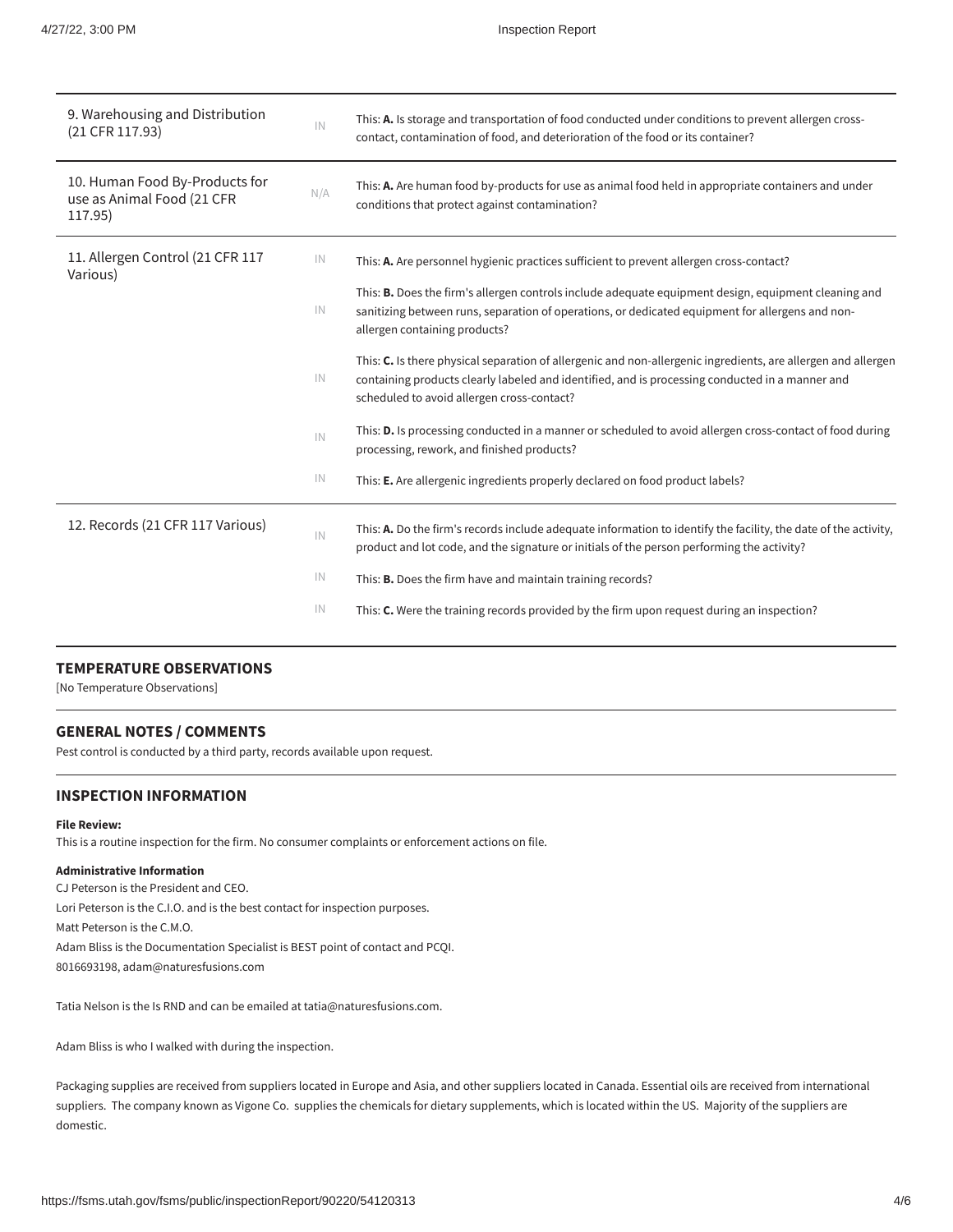| 9. Warehousing and Distribution<br>(21 CFR 117.93)                      | IN  | This: A. Is storage and transportation of food conducted under conditions to prevent allergen cross-<br>contact, contamination of food, and deterioration of the food or its container?                                                                        |
|-------------------------------------------------------------------------|-----|----------------------------------------------------------------------------------------------------------------------------------------------------------------------------------------------------------------------------------------------------------------|
| 10. Human Food By-Products for<br>use as Animal Food (21 CFR<br>117.95) | N/A | This: A. Are human food by-products for use as animal food held in appropriate containers and under<br>conditions that protect against contamination?                                                                                                          |
| 11. Allergen Control (21 CFR 117<br>Various)                            | IN  | This: A. Are personnel hygienic practices sufficient to prevent allergen cross-contact?                                                                                                                                                                        |
|                                                                         | IN  | This: <b>B.</b> Does the firm's allergen controls include adequate equipment design, equipment cleaning and<br>sanitizing between runs, separation of operations, or dedicated equipment for allergens and non-<br>allergen containing products?               |
|                                                                         | IN  | This: C. Is there physical separation of allergenic and non-allergenic ingredients, are allergen and allergen<br>containing products clearly labeled and identified, and is processing conducted in a manner and<br>scheduled to avoid allergen cross-contact? |
|                                                                         | IN  | This: <b>D.</b> Is processing conducted in a manner or scheduled to avoid allergen cross-contact of food during<br>processing, rework, and finished products?                                                                                                  |
|                                                                         | IN  | This: E. Are allergenic ingredients properly declared on food product labels?                                                                                                                                                                                  |
| 12. Records (21 CFR 117 Various)                                        | IN  | This: A. Do the firm's records include adequate information to identify the facility, the date of the activity,<br>product and lot code, and the signature or initials of the person performing the activity?                                                  |
|                                                                         | IN  | This: B. Does the firm have and maintain training records?                                                                                                                                                                                                     |
|                                                                         | IN  | This: C. Were the training records provided by the firm upon request during an inspection?                                                                                                                                                                     |
|                                                                         |     |                                                                                                                                                                                                                                                                |

## **TEMPERATURE OBSERVATIONS**

[No Temperature Observations]

## **GENERAL NOTES / COMMENTS**

Pest control is conducted by a third party, records available upon request.

# **INSPECTION INFORMATION**

#### **File Review:**

This is a routine inspection for the firm. No consumer complaints or enforcement actions on file.

## **Administrative Information**

CJ Peterson is the President and CEO. Lori Peterson is the C.I.O. and is the best contact for inspection purposes. Matt Peterson is the C.M.O. Adam Bliss is the Documentation Specialist is BEST point of contact and PCQI. 8016693198, adam@naturesfusions.com

Tatia Nelson is the Is RND and can be emailed at tatia@naturesfusions.com.

Adam Bliss is who I walked with during the inspection.

Packaging supplies are received from suppliers located in Europe and Asia, and other suppliers located in Canada. Essential oils are received from international suppliers. The company known as Vigone Co. supplies the chemicals for dietary supplements, which is located within the US. Majority of the suppliers are domestic.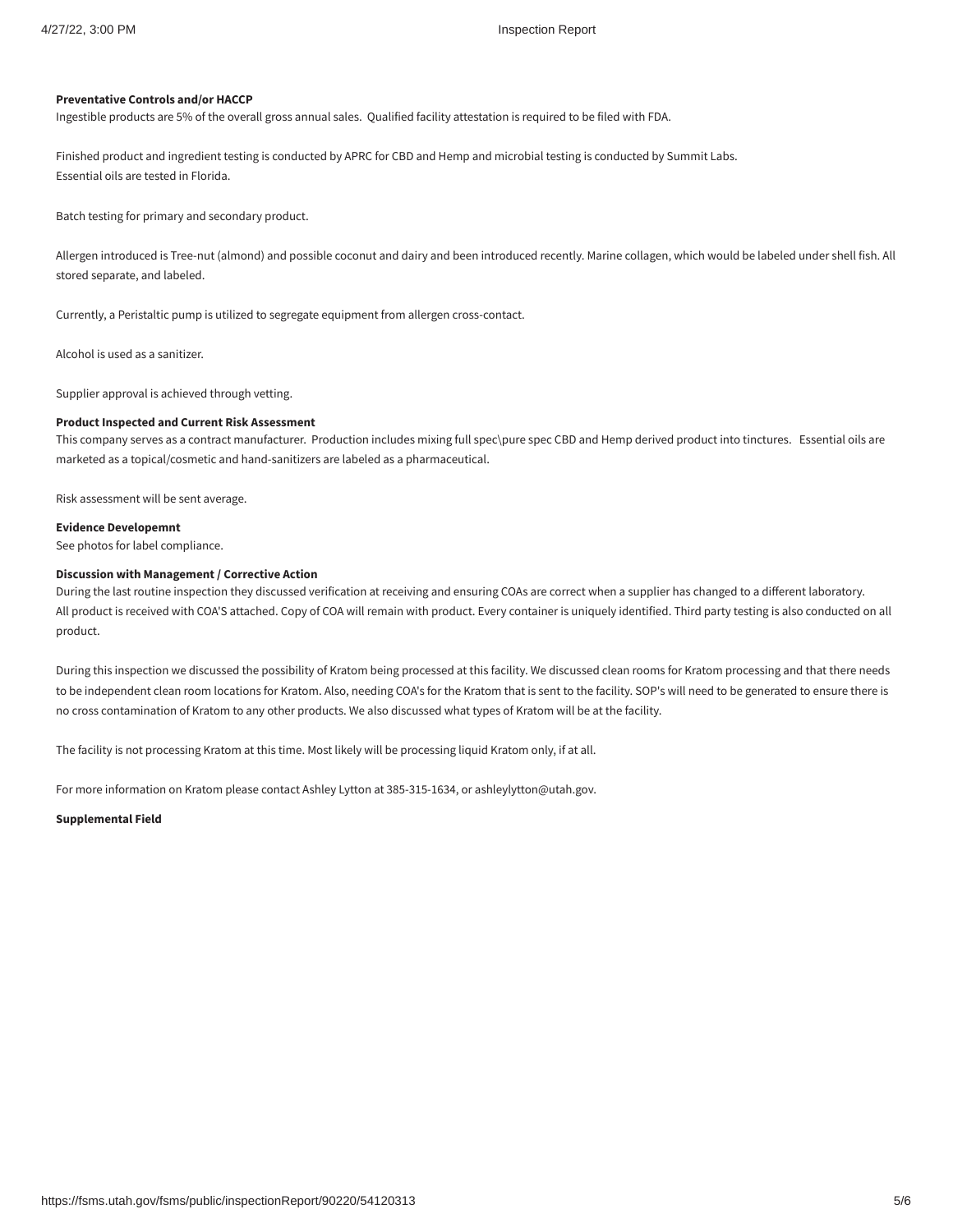#### **Preventative Controls and/or HACCP**

Ingestible products are 5% of the overall gross annual sales. Qualified facility attestation is required to be filed with FDA.

Finished product and ingredient testing is conducted by APRC for CBD and Hemp and microbial testing is conducted by Summit Labs. Essential oils are tested in Florida.

Batch testing for primary and secondary product.

Allergen introduced is Tree-nut (almond) and possible coconut and dairy and been introduced recently. Marine collagen, which would be labeled under shell fish. All stored separate, and labeled.

Currently, a Peristaltic pump is utilized to segregate equipment from allergen cross-contact.

Alcohol is used as a sanitizer.

Supplier approval is achieved through vetting.

#### **Product Inspected and Current Risk Assessment**

This company serves as a contract manufacturer. Production includes mixing full spec\pure spec CBD and Hemp derived product into tinctures. Essential oils are marketed as a topical/cosmetic and hand-sanitizers are labeled as a pharmaceutical.

Risk assessment will be sent average.

### **Evidence Developemnt**

See photos for label compliance.

### **Discussion with Management / Corrective Action**

During the last routine inspection they discussed verification at receiving and ensuring COAs are correct when a supplier has changed to a different laboratory. All product is received with COA'S attached. Copy of COA will remain with product. Every container is uniquely identified. Third party testing is also conducted on all product.

During this inspection we discussed the possibility of Kratom being processed at this facility. We discussed clean rooms for Kratom processing and that there needs to be independent clean room locations for Kratom. Also, needing COA's for the Kratom that is sent to the facility. SOP's will need to be generated to ensure there is no cross contamination of Kratom to any other products. We also discussed what types of Kratom will be at the facility.

The facility is not processing Kratom at this time. Most likely will be processing liquid Kratom only, if at all.

For more information on Kratom please contact Ashley Lytton at 385-315-1634, or ashleylytton@utah.gov.

**Supplemental Field**